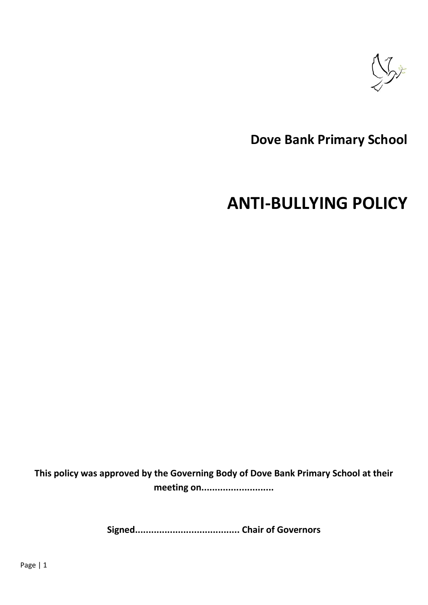

# **Dove Bank Primary School**

# **ANTI-BULLYING POLICY**

**This policy was approved by the Governing Body of Dove Bank Primary School at their meeting on...........................**

**Signed....................................... Chair of Governors**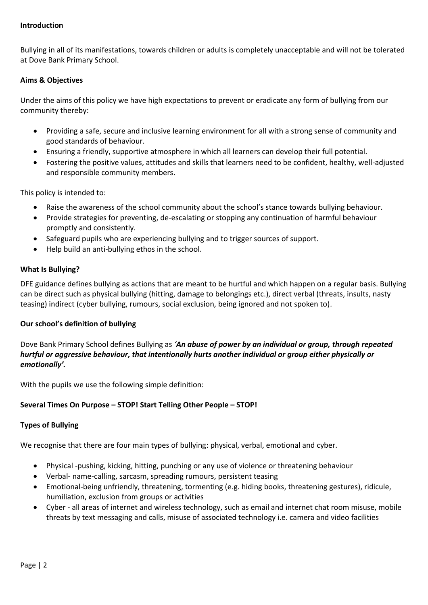#### **Introduction**

Bullying in all of its manifestations, towards children or adults is completely unacceptable and will not be tolerated at Dove Bank Primary School.

# **Aims & Objectives**

Under the aims of this policy we have high expectations to prevent or eradicate any form of bullying from our community thereby:

- Providing a safe, secure and inclusive learning environment for all with a strong sense of community and good standards of behaviour.
- Ensuring a friendly, supportive atmosphere in which all learners can develop their full potential.
- Fostering the positive values, attitudes and skills that learners need to be confident, healthy, well-adjusted and responsible community members.

This policy is intended to:

- Raise the awareness of the school community about the school's stance towards bullying behaviour.
- Provide strategies for preventing, de-escalating or stopping any continuation of harmful behaviour promptly and consistently.
- Safeguard pupils who are experiencing bullying and to trigger sources of support.
- Help build an anti-bullying ethos in the school.

# **What Is Bullying?**

DFE guidance defines bullying as actions that are meant to be hurtful and which happen on a regular basis. Bullying can be direct such as physical bullying (hitting, damage to belongings etc.), direct verbal (threats, insults, nasty teasing) indirect (cyber bullying, rumours, social exclusion, being ignored and not spoken to).

# **Our school's definition of bullying**

Dove Bank Primary School defines Bullying as *'An abuse of power by an individual or group, through repeated hurtful or aggressive behaviour, that intentionally hurts another individual or group either physically or emotionally'.*

With the pupils we use the following simple definition:

# **Several Times On Purpose – STOP! Start Telling Other People – STOP!**

# **Types of Bullying**

We recognise that there are four main types of bullying: physical, verbal, emotional and cyber.

- Physical -pushing, kicking, hitting, punching or any use of violence or threatening behaviour
- Verbal- name-calling, sarcasm, spreading rumours, persistent teasing
- Emotional-being unfriendly, threatening, tormenting (e.g. hiding books, threatening gestures), ridicule, humiliation, exclusion from groups or activities
- Cyber all areas of internet and wireless technology, such as email and internet chat room misuse, mobile threats by text messaging and calls, misuse of associated technology i.e. camera and video facilities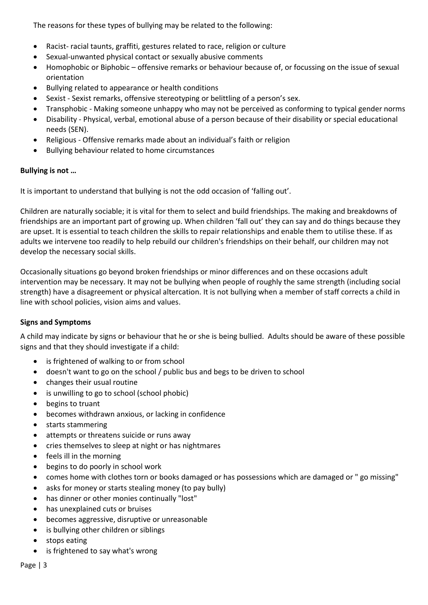The reasons for these types of bullying may be related to the following:

- Racist- racial taunts, graffiti, gestures related to race, religion or culture
- Sexual-unwanted physical contact or sexually abusive comments
- Homophobic or Biphobic offensive remarks or behaviour because of, or focussing on the issue of sexual orientation
- Bullying related to appearance or health conditions
- Sexist Sexist remarks, offensive stereotyping or belittling of a person's sex.
- Transphobic Making someone unhappy who may not be perceived as conforming to typical gender norms
- Disability Physical, verbal, emotional abuse of a person because of their disability or special educational needs (SEN).
- Religious Offensive remarks made about an individual's faith or religion
- Bullying behaviour related to home circumstances

# **Bullying is not …**

It is important to understand that bullying is not the odd occasion of 'falling out'.

Children are naturally sociable; it is vital for them to select and build friendships. The making and breakdowns of friendships are an important part of growing up. When children 'fall out' they can say and do things because they are upset. It is essential to teach children the skills to repair relationships and enable them to utilise these. If as adults we intervene too readily to help rebuild our children's friendships on their behalf, our children may not develop the necessary social skills.

Occasionally situations go beyond broken friendships or minor differences and on these occasions adult intervention may be necessary. It may not be bullying when people of roughly the same strength (including social strength) have a disagreement or physical altercation. It is not bullying when a member of staff corrects a child in line with school policies, vision aims and values.

# **Signs and Symptoms**

A child may indicate by signs or behaviour that he or she is being bullied. Adults should be aware of these possible signs and that they should investigate if a child:

- is frightened of walking to or from school
- doesn't want to go on the school / public bus and begs to be driven to school
- changes their usual routine
- is unwilling to go to school (school phobic)
- begins to truant
- becomes withdrawn anxious, or lacking in confidence
- starts stammering
- attempts or threatens suicide or runs away
- cries themselves to sleep at night or has nightmares
- feels ill in the morning
- begins to do poorly in school work
- comes home with clothes torn or books damaged or has possessions which are damaged or " go missing"
- asks for money or starts stealing money (to pay bully)
- has dinner or other monies continually "lost"
- has unexplained cuts or bruises
- becomes aggressive, disruptive or unreasonable
- is bullying other children or siblings
- stops eating
- is frightened to say what's wrong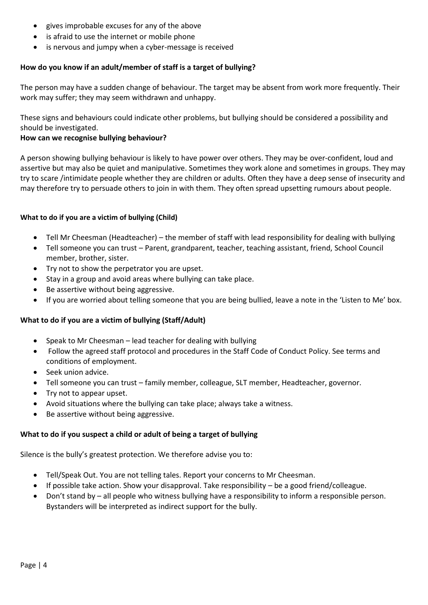- gives improbable excuses for any of the above
- is afraid to use the internet or mobile phone
- is nervous and jumpy when a cyber-message is received

# **How do you know if an adult/member of staff is a target of bullying?**

The person may have a sudden change of behaviour. The target may be absent from work more frequently. Their work may suffer; they may seem withdrawn and unhappy.

These signs and behaviours could indicate other problems, but bullying should be considered a possibility and should be investigated.

# **How can we recognise bullying behaviour?**

A person showing bullying behaviour is likely to have power over others. They may be over-confident, loud and assertive but may also be quiet and manipulative. Sometimes they work alone and sometimes in groups. They may try to scare /intimidate people whether they are children or adults. Often they have a deep sense of insecurity and may therefore try to persuade others to join in with them. They often spread upsetting rumours about people.

# **What to do if you are a victim of bullying (Child)**

- Tell Mr Cheesman (Headteacher) the member of staff with lead responsibility for dealing with bullying
- Tell someone you can trust Parent, grandparent, teacher, teaching assistant, friend, School Council member, brother, sister.
- Try not to show the perpetrator you are upset.
- Stay in a group and avoid areas where bullying can take place.
- Be assertive without being aggressive.
- If you are worried about telling someone that you are being bullied, leave a note in the 'Listen to Me' box.

# **What to do if you are a victim of bullying (Staff/Adult)**

- $\bullet$  Speak to Mr Cheesman lead teacher for dealing with bullying
- Follow the agreed staff protocol and procedures in the Staff Code of Conduct Policy. See terms and conditions of employment.
- Seek union advice.
- Tell someone you can trust family member, colleague, SLT member, Headteacher, governor.
- Try not to appear upset.
- Avoid situations where the bullying can take place; always take a witness.
- Be assertive without being aggressive.

# **What to do if you suspect a child or adult of being a target of bullying**

Silence is the bully's greatest protection. We therefore advise you to:

- Tell/Speak Out. You are not telling tales. Report your concerns to Mr Cheesman.
- If possible take action. Show your disapproval. Take responsibility be a good friend/colleague.
- Don't stand by all people who witness bullying have a responsibility to inform a responsible person. Bystanders will be interpreted as indirect support for the bully.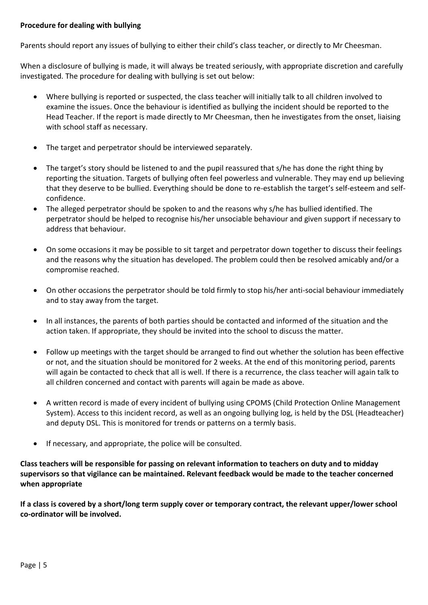# **Procedure for dealing with bullying**

Parents should report any issues of bullying to either their child's class teacher, or directly to Mr Cheesman.

When a disclosure of bullying is made, it will always be treated seriously, with appropriate discretion and carefully investigated. The procedure for dealing with bullying is set out below:

- Where bullying is reported or suspected, the class teacher will initially talk to all children involved to examine the issues. Once the behaviour is identified as bullying the incident should be reported to the Head Teacher. If the report is made directly to Mr Cheesman, then he investigates from the onset, liaising with school staff as necessary.
- The target and perpetrator should be interviewed separately.
- The target's story should be listened to and the pupil reassured that s/he has done the right thing by reporting the situation. Targets of bullying often feel powerless and vulnerable. They may end up believing that they deserve to be bullied. Everything should be done to re-establish the target's self-esteem and selfconfidence.
- The alleged perpetrator should be spoken to and the reasons why s/he has bullied identified. The perpetrator should be helped to recognise his/her unsociable behaviour and given support if necessary to address that behaviour.
- On some occasions it may be possible to sit target and perpetrator down together to discuss their feelings and the reasons why the situation has developed. The problem could then be resolved amicably and/or a compromise reached.
- On other occasions the perpetrator should be told firmly to stop his/her anti-social behaviour immediately and to stay away from the target.
- In all instances, the parents of both parties should be contacted and informed of the situation and the action taken. If appropriate, they should be invited into the school to discuss the matter.
- Follow up meetings with the target should be arranged to find out whether the solution has been effective or not, and the situation should be monitored for 2 weeks. At the end of this monitoring period, parents will again be contacted to check that all is well. If there is a recurrence, the class teacher will again talk to all children concerned and contact with parents will again be made as above.
- A written record is made of every incident of bullying using CPOMS (Child Protection Online Management System). Access to this incident record, as well as an ongoing bullying log, is held by the DSL (Headteacher) and deputy DSL. This is monitored for trends or patterns on a termly basis.
- If necessary, and appropriate, the police will be consulted.

**Class teachers will be responsible for passing on relevant information to teachers on duty and to midday supervisors so that vigilance can be maintained. Relevant feedback would be made to the teacher concerned when appropriate**

**If a class is covered by a short/long term supply cover or temporary contract, the relevant upper/lower school co-ordinator will be involved.**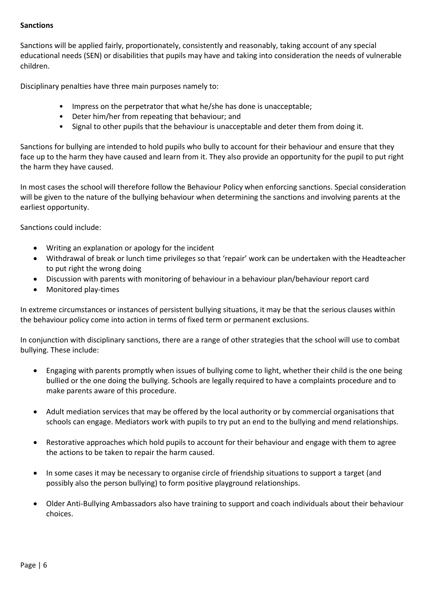# **Sanctions**

Sanctions will be applied fairly, proportionately, consistently and reasonably, taking account of any special educational needs (SEN) or disabilities that pupils may have and taking into consideration the needs of vulnerable children.

Disciplinary penalties have three main purposes namely to:

- Impress on the perpetrator that what he/she has done is unacceptable;
- Deter him/her from repeating that behaviour; and
- Signal to other pupils that the behaviour is unacceptable and deter them from doing it.

Sanctions for bullying are intended to hold pupils who bully to account for their behaviour and ensure that they face up to the harm they have caused and learn from it. They also provide an opportunity for the pupil to put right the harm they have caused.

In most cases the school will therefore follow the Behaviour Policy when enforcing sanctions. Special consideration will be given to the nature of the bullying behaviour when determining the sanctions and involving parents at the earliest opportunity.

Sanctions could include:

- Writing an explanation or apology for the incident
- Withdrawal of break or lunch time privileges so that 'repair' work can be undertaken with the Headteacher to put right the wrong doing
- Discussion with parents with monitoring of behaviour in a behaviour plan/behaviour report card
- Monitored play-times

In extreme circumstances or instances of persistent bullying situations, it may be that the serious clauses within the behaviour policy come into action in terms of fixed term or permanent exclusions.

In conjunction with disciplinary sanctions, there are a range of other strategies that the school will use to combat bullying. These include:

- Engaging with parents promptly when issues of bullying come to light, whether their child is the one being bullied or the one doing the bullying. Schools are legally required to have a complaints procedure and to make parents aware of this procedure.
- Adult mediation services that may be offered by the local authority or by commercial organisations that schools can engage. Mediators work with pupils to try put an end to the bullying and mend relationships.
- Restorative approaches which hold pupils to account for their behaviour and engage with them to agree the actions to be taken to repair the harm caused.
- In some cases it may be necessary to organise circle of friendship situations to support a target (and possibly also the person bullying) to form positive playground relationships.
- Older Anti-Bullying Ambassadors also have training to support and coach individuals about their behaviour choices.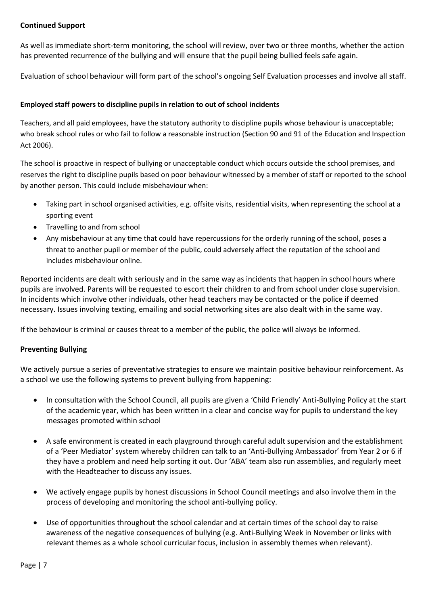# **Continued Support**

As well as immediate short-term monitoring, the school will review, over two or three months, whether the action has prevented recurrence of the bullying and will ensure that the pupil being bullied feels safe again.

Evaluation of school behaviour will form part of the school's ongoing Self Evaluation processes and involve all staff.

# **Employed staff powers to discipline pupils in relation to out of school incidents**

Teachers, and all paid employees, have the statutory authority to discipline pupils whose behaviour is unacceptable; who break school rules or who fail to follow a reasonable instruction (Section 90 and 91 of the Education and Inspection Act 2006).

The school is proactive in respect of bullying or unacceptable conduct which occurs outside the school premises, and reserves the right to discipline pupils based on poor behaviour witnessed by a member of staff or reported to the school by another person. This could include misbehaviour when:

- Taking part in school organised activities, e.g. offsite visits, residential visits, when representing the school at a sporting event
- Travelling to and from school
- Any misbehaviour at any time that could have repercussions for the orderly running of the school, poses a threat to another pupil or member of the public, could adversely affect the reputation of the school and includes misbehaviour online.

Reported incidents are dealt with seriously and in the same way as incidents that happen in school hours where pupils are involved. Parents will be requested to escort their children to and from school under close supervision. In incidents which involve other individuals, other head teachers may be contacted or the police if deemed necessary. Issues involving texting, emailing and social networking sites are also dealt with in the same way.

If the behaviour is criminal or causes threat to a member of the public, the police will always be informed.

# **Preventing Bullying**

We actively pursue a series of preventative strategies to ensure we maintain positive behaviour reinforcement. As a school we use the following systems to prevent bullying from happening:

- In consultation with the School Council, all pupils are given a 'Child Friendly' Anti-Bullying Policy at the start of the academic year, which has been written in a clear and concise way for pupils to understand the key messages promoted within school
- A safe environment is created in each playground through careful adult supervision and the establishment of a 'Peer Mediator' system whereby children can talk to an 'Anti-Bullying Ambassador' from Year 2 or 6 if they have a problem and need help sorting it out. Our 'ABA' team also run assemblies, and regularly meet with the Headteacher to discuss any issues.
- We actively engage pupils by honest discussions in School Council meetings and also involve them in the process of developing and monitoring the school anti-bullying policy.
- Use of opportunities throughout the school calendar and at certain times of the school day to raise awareness of the negative consequences of bullying (e.g. Anti-Bullying Week in November or links with relevant themes as a whole school curricular focus, inclusion in assembly themes when relevant).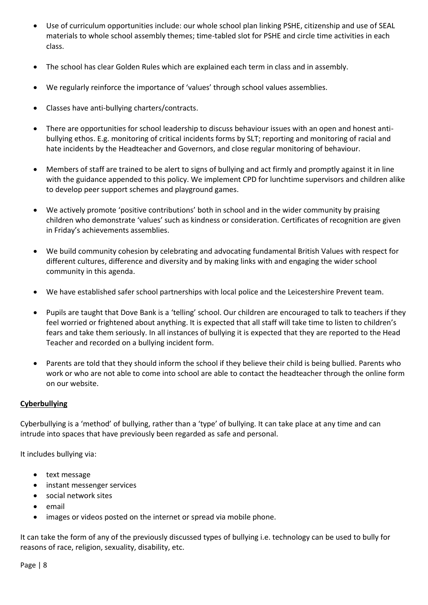- Use of curriculum opportunities include: our whole school plan linking PSHE, citizenship and use of SEAL materials to whole school assembly themes; time-tabled slot for PSHE and circle time activities in each class.
- The school has clear Golden Rules which are explained each term in class and in assembly.
- We regularly reinforce the importance of 'values' through school values assemblies.
- Classes have anti-bullying charters/contracts.
- There are opportunities for school leadership to discuss behaviour issues with an open and honest antibullying ethos. E.g. monitoring of critical incidents forms by SLT; reporting and monitoring of racial and hate incidents by the Headteacher and Governors, and close regular monitoring of behaviour.
- Members of staff are trained to be alert to signs of bullying and act firmly and promptly against it in line with the guidance appended to this policy. We implement CPD for lunchtime supervisors and children alike to develop peer support schemes and playground games.
- We actively promote 'positive contributions' both in school and in the wider community by praising children who demonstrate 'values' such as kindness or consideration. Certificates of recognition are given in Friday's achievements assemblies.
- We build community cohesion by celebrating and advocating fundamental British Values with respect for different cultures, difference and diversity and by making links with and engaging the wider school community in this agenda.
- We have established safer school partnerships with local police and the Leicestershire Prevent team.
- Pupils are taught that Dove Bank is a 'telling' school. Our children are encouraged to talk to teachers if they feel worried or frightened about anything. It is expected that all staff will take time to listen to children's fears and take them seriously. In all instances of bullying it is expected that they are reported to the Head Teacher and recorded on a bullying incident form.
- Parents are told that they should inform the school if they believe their child is being bullied. Parents who work or who are not able to come into school are able to contact the headteacher through the online form on our website.

# **Cyberbullying**

Cyberbullying is a 'method' of bullying, rather than a 'type' of bullying. It can take place at any time and can intrude into spaces that have previously been regarded as safe and personal.

It includes bullying via:

- text message
- instant messenger services
- social network sites
- email
- images or videos posted on the internet or spread via mobile phone.

It can take the form of any of the previously discussed types of bullying i.e. technology can be used to bully for reasons of race, religion, sexuality, disability, etc.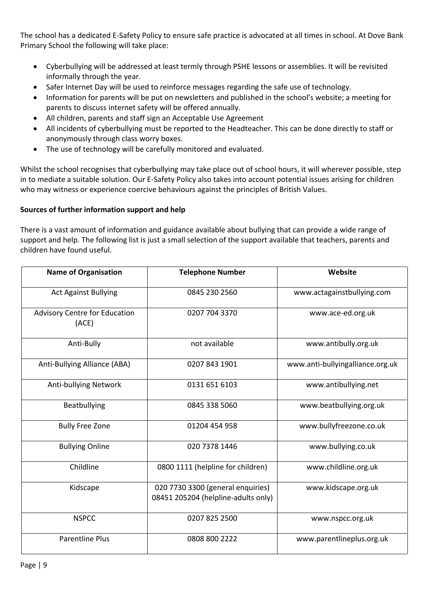The school has a dedicated E-Safety Policy to ensure safe practice is advocated at all times in school. At Dove Bank Primary School the following will take place:

- Cyberbullying will be addressed at least termly through PSHE lessons or assemblies. It will be revisited informally through the year.
- Safer Internet Day will be used to reinforce messages regarding the safe use of technology.
- Information for parents will be put on newsletters and published in the school's website; a meeting for parents to discuss internet safety will be offered annually.
- All children, parents and staff sign an Acceptable Use Agreement
- All incidents of cyberbullying must be reported to the Headteacher. This can be done directly to staff or anonymously through class worry boxes.
- The use of technology will be carefully monitored and evaluated.

Whilst the school recognises that cyberbullying may take place out of school hours, it will wherever possible, step in to mediate a suitable solution. Our E-Safety Policy also takes into account potential issues arising for children who may witness or experience coercive behaviours against the principles of British Values.

# **Sources of further information support and help**

There is a vast amount of information and guidance available about bullying that can provide a wide range of support and help. The following list is just a small selection of the support available that teachers, parents and children have found useful.

| <b>Name of Organisation</b>                   | <b>Telephone Number</b>                                                  | Website                          |
|-----------------------------------------------|--------------------------------------------------------------------------|----------------------------------|
| <b>Act Against Bullying</b>                   | 0845 230 2560                                                            | www.actagainstbullying.com       |
| <b>Advisory Centre for Education</b><br>(ACE) | 0207 704 3370                                                            | www.ace-ed.org.uk                |
| Anti-Bully                                    | not available                                                            | www.antibully.org.uk             |
| Anti-Bullying Alliance (ABA)                  | 0207 843 1901                                                            | www.anti-bullyingalliance.org.uk |
| Anti-bullying Network                         | 0131 651 6103                                                            | www.antibullying.net             |
| Beatbullying                                  | 0845 338 5060                                                            | www.beatbullying.org.uk          |
| <b>Bully Free Zone</b>                        | 01204 454 958                                                            | www.bullyfreezone.co.uk          |
| <b>Bullying Online</b>                        | 020 7378 1446                                                            | www.bullying.co.uk               |
| Childline                                     | 0800 1111 (helpline for children)                                        | www.childline.org.uk             |
| Kidscape                                      | 020 7730 3300 (general enquiries)<br>08451 205204 (helpline-adults only) | www.kidscape.org.uk              |
| <b>NSPCC</b>                                  | 0207 825 2500                                                            | www.nspcc.org.uk                 |
| <b>Parentline Plus</b>                        | 0808 800 2222                                                            | www.parentlineplus.org.uk        |